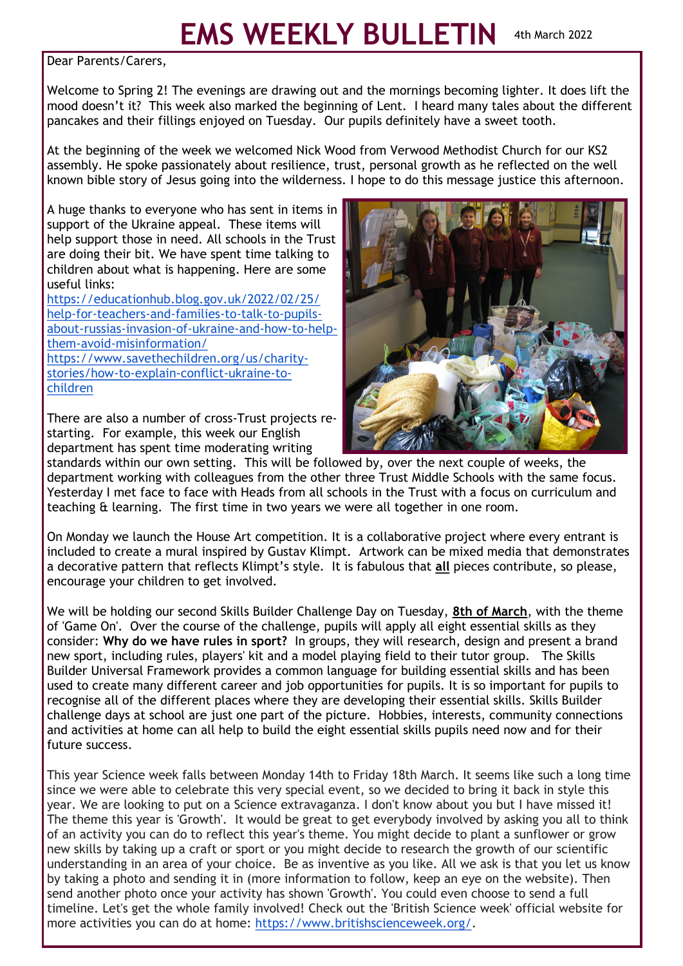## **EMS WEEKLY BULLETIN** 4th March 2022

Dear Parents/Carers,

Welcome to Spring 2! The evenings are drawing out and the mornings becoming lighter. It does lift the mood doesn't it? This week also marked the beginning of Lent. I heard many tales about the different pancakes and their fillings enjoyed on Tuesday. Our pupils definitely have a sweet tooth.

At the beginning of the week we welcomed Nick Wood from Verwood Methodist Church for our KS2 assembly. He spoke passionately about resilience, trust, personal growth as he reflected on the well known bible story of Jesus going into the wilderness. I hope to do this message justice this afternoon.

A huge thanks to everyone who has sent in items in support of the Ukraine appeal. These items will help support those in need. All schools in the Trust are doing their bit. We have spent time talking to children about what is happening. Here are some useful links:

[https://educationhub.blog.gov.uk/2022/02/25/](https://educationhub.blog.gov.uk/2022/02/25/help-for-teachers-and-families-to-talk-to-pupils-about-russias-invasion-of-ukraine-and-how-to-help-them-avoid-misinformation/) help-for-[teachers](https://educationhub.blog.gov.uk/2022/02/25/help-for-teachers-and-families-to-talk-to-pupils-about-russias-invasion-of-ukraine-and-how-to-help-them-avoid-misinformation/)-and-families-to-talk-to-pupilsabout-russias-[invasion](https://educationhub.blog.gov.uk/2022/02/25/help-for-teachers-and-families-to-talk-to-pupils-about-russias-invasion-of-ukraine-and-how-to-help-them-avoid-misinformation/)-of-ukraine-and-how-to-helpthem-avoid-[misinformation/](https://educationhub.blog.gov.uk/2022/02/25/help-for-teachers-and-families-to-talk-to-pupils-about-russias-invasion-of-ukraine-and-how-to-help-them-avoid-misinformation/) [https://www.savethechildren.org/us/charity](https://www.savethechildren.org/us/charity-stories/how-to-explain-conflict-ukraine-to-children)[stories/how](https://www.savethechildren.org/us/charity-stories/how-to-explain-conflict-ukraine-to-children)-to-explain-conflict-ukraine-to[children](https://www.savethechildren.org/us/charity-stories/how-to-explain-conflict-ukraine-to-children)

There are also a number of cross-Trust projects restarting. For example, this week our English department has spent time moderating writing



standards within our own setting. This will be followed by, over the next couple of weeks, the department working with colleagues from the other three Trust Middle Schools with the same focus. Yesterday I met face to face with Heads from all schools in the Trust with a focus on curriculum and teaching & learning. The first time in two years we were all together in one room.

On Monday we launch the House Art competition. It is a collaborative project where every entrant is included to create a mural inspired by Gustav Klimpt. Artwork can be mixed media that demonstrates a decorative pattern that reflects Klimpt's style. It is fabulous that **all** pieces contribute, so please, encourage your children to get involved.

We will be holding our second Skills Builder Challenge Day on Tuesday, **8th of March**, with the theme of 'Game On'. Over the course of the challenge, pupils will apply all eight essential skills as they consider: **Why do we have rules in sport?** In groups, they will research, design and present a brand new sport, including rules, players' kit and a model playing field to their tutor group. The Skills Builder Universal Framework provides a common language for building essential skills and has been used to create many different career and job opportunities for pupils. It is so important for pupils to recognise all of the different places where they are developing their essential skills. Skills Builder challenge days at school are just one part of the picture. Hobbies, interests, community connections and activities at home can all help to build the eight essential skills pupils need now and for their future success.

This year Science week falls between Monday 14th to Friday 18th March. It seems like such a long time since we were able to celebrate this very special event, so we decided to bring it back in style this year. We are looking to put on a Science extravaganza. I don't know about you but I have missed it! The theme this year is 'Growth'. It would be great to get everybody involved by asking you all to think of an activity you can do to reflect this year's theme. You might decide to plant a sunflower or grow new skills by taking up a craft or sport or you might decide to research the growth of our scientific understanding in an area of your choice. Be as inventive as you like. All we ask is that you let us know by taking a photo and sending it in (more information to follow, keep an eye on the website). Then send another photo once your activity has shown 'Growth'. You could even choose to send a full timeline. Let's get the whole family involved! Check out the 'British Science week' official website for more activities you can do at home: [https://www.britishscienceweek.org/.](https://www.britishscienceweek.org/)